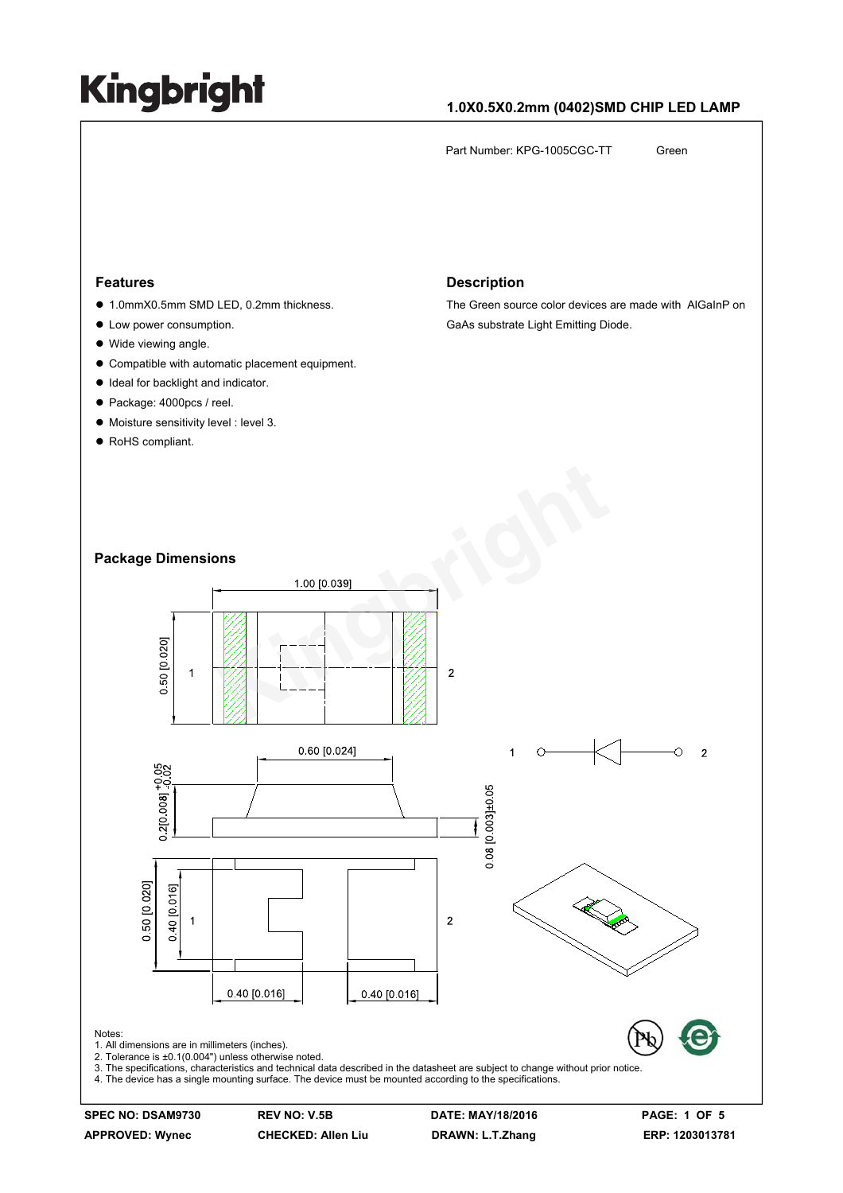## **1.0X0.5X0.2mm (0402)SMD CHIP LED LAMP**

Part Number: KPG-1005CGC-TT Green

#### **Features**

- 1.0mmX0.5mm SMD LED, 0.2mm thickness.
- Low power consumption.
- Wide viewing angle.
- $\bullet$  Compatible with automatic placement equipment.
- $\bullet$  Ideal for backlight and indicator.
- Package: 4000pcs / reel.
- $\bullet$  Moisture sensitivity level : level 3.
- RoHS compliant.

#### **Description**

The Green source color devices are made with AlGaInP on GaAs substrate Light Emitting Diode.

#### **Package Dimensions**



**SPEC NO: DSAM9730 REV NO: V.5B DATE: MAY/18/2016 PAGE: 1 OF 5 APPROVED: Wynec CHECKED: Allen Liu DRAWN: L.T.Zhang ERP: 1203013781**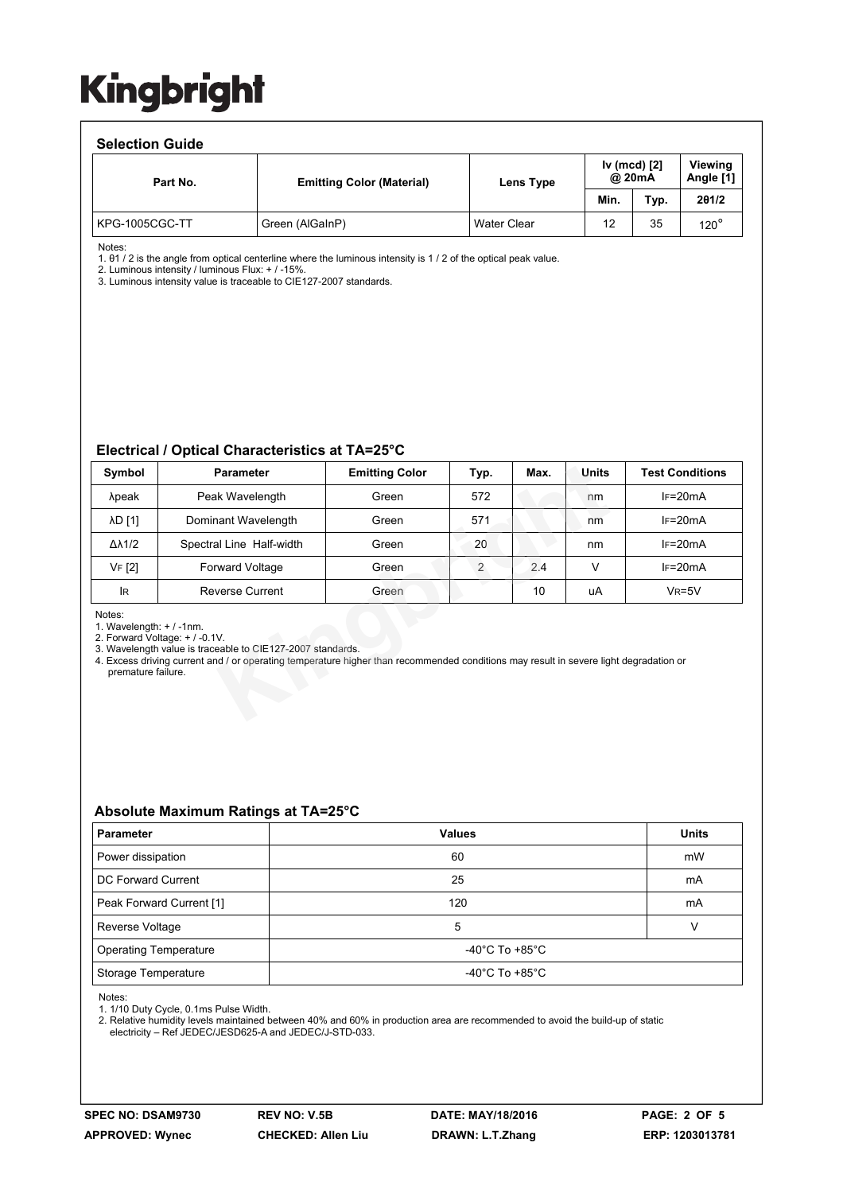#### **Selection Guide**

| Part No.       | <b>Emitting Color (Material)</b> | Lens Type          | Iv (mcd) [2]<br>@ 20mA |      | Viewing<br>Angle [1] |  |  |  |  |  |
|----------------|----------------------------------|--------------------|------------------------|------|----------------------|--|--|--|--|--|
|                |                                  |                    | Min.                   | Typ. | 201/2                |  |  |  |  |  |
| KPG-1005CGC-TT | Green (AlGaInP)                  | <b>Water Clear</b> | 12                     | 35   | $120^\circ$          |  |  |  |  |  |

Notes:

1. θ1 / 2 is the angle from optical centerline where the luminous intensity is 1 / 2 of the optical peak value.

2. Luminous intensity / luminous Flux: + / -15%. 3. Luminous intensity value is traceable to CIE127-2007 standards.

#### **Electrical / Optical Characteristics at TA=25°C**

| Symbol                                                                                                                                                                                                                                                                                              | <b>Parameter</b>         | <b>Emitting Color</b> | Typ. | Max. | Units  | <b>Test Conditions</b> |  |  |  |
|-----------------------------------------------------------------------------------------------------------------------------------------------------------------------------------------------------------------------------------------------------------------------------------------------------|--------------------------|-----------------------|------|------|--------|------------------------|--|--|--|
| λpeak                                                                                                                                                                                                                                                                                               | Peak Wavelength          | Green                 | 572  |      | nm     | $IF=20mA$              |  |  |  |
| λD [1]                                                                                                                                                                                                                                                                                              | Dominant Wavelength      | Green                 | 571  |      | nm     | $IF=20mA$              |  |  |  |
| $\Delta\lambda$ 1/2                                                                                                                                                                                                                                                                                 | Spectral Line Half-width | Green                 | 20   |      | nm     | $IF=20mA$              |  |  |  |
| <b>VF [2]</b>                                                                                                                                                                                                                                                                                       | <b>Forward Voltage</b>   | Green                 | 2    | 2.4  | $\vee$ | $IF=20mA$              |  |  |  |
| lR.                                                                                                                                                                                                                                                                                                 | Reverse Current          | Green                 |      | 10   | uA     | $V_R = 5V$             |  |  |  |
| Notes:<br>1. Wavelength: $+$ / -1nm.<br>2. Forward Voltage: + / -0.1V.<br>3. Wavelength value is traceable to CIE127-2007 standards.<br>4. Excess driving current and / or operating temperature higher than recommended conditions may result in severe light degradation or<br>premature failure. |                          |                       |      |      |        |                        |  |  |  |

### **Absolute Maximum Ratings at TA=25°C**

| <b>Parameter</b>             | <b>Values</b>                        | <b>Units</b> |  |
|------------------------------|--------------------------------------|--------------|--|
| Power dissipation            | 60                                   | mW           |  |
| DC Forward Current           | 25                                   | mA           |  |
| Peak Forward Current [1]     | 120                                  | mA           |  |
| Reverse Voltage              | 5                                    |              |  |
| <b>Operating Temperature</b> | -40 $^{\circ}$ C To +85 $^{\circ}$ C |              |  |
| Storage Temperature          | -40 $^{\circ}$ C To +85 $^{\circ}$ C |              |  |

Notes:

1. 1/10 Duty Cycle, 0.1ms Pulse Width.

2. Relative humidity levels maintained between 40% and 60% in production area are recommended to avoid the build-up of static electricity – Ref JEDEC/JESD625-A and JEDEC/J-STD-033.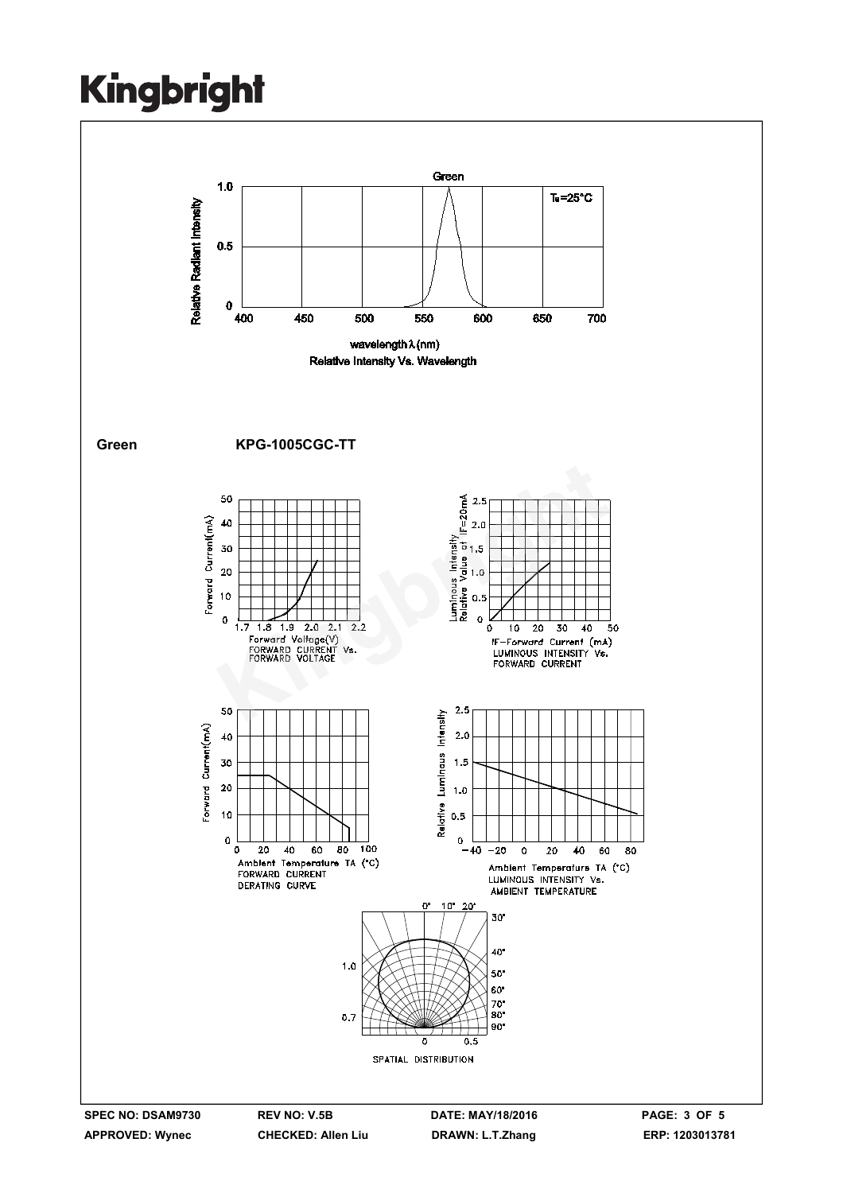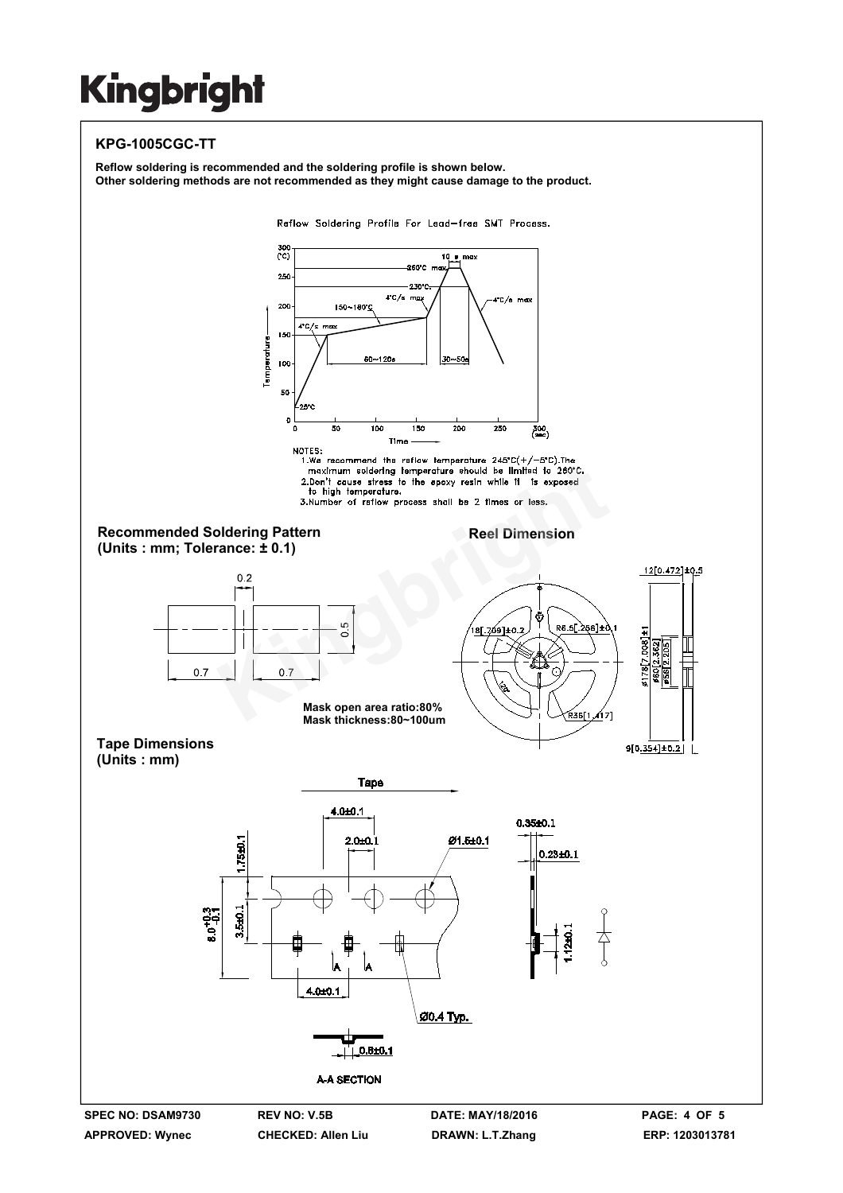## **KPG-1005CGC-TT**

**Reflow soldering is recommended and the soldering profile is shown below. Other soldering methods are not recommended as they might cause damage to the product.** 

Reflow Soldering Profile For Lead-free SMT Process.